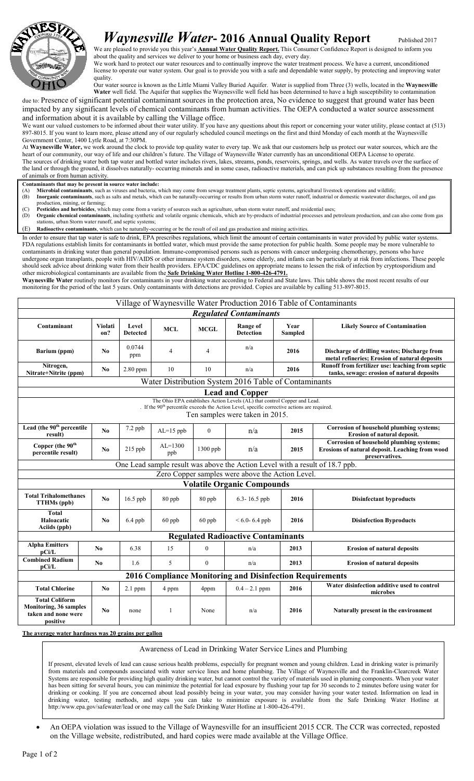

## *Waynesville Water*-2016 Annual Quality Report Published 2017

We are pleased to provide you this year's **Annual Water Quality Report.** This Consumer Confidence Report is designed to inform you about the quality and services we deliver to your home or business each day, every day.

We work hard to protect our water resources and to continually improve the water treatment process. We have a current, unconditioned license to operate our water system. Our goal is to provide you with a safe and dependable water supply, by protecting and improving water quality.

Our water source is known as the Little Miami Valley Buried Aquifer. Water is supplied from Three (3) wells, located in the Waynesville Water well field. The Aquifer that supplies the Waynesville well field has been determined to have a high susceptibility to contamination

due to: Presence of significant potential contaminant sources in the protection area, No evidence to suggest that ground water has been impacted by any significant levels of chemical contaminants from human activities. The OEPA conducted a water source assessment and information about it is available by calling the Village office.

We want our valued customers to be informed about their water utility. If you have any questions about this report or concerning your water utility, please contact at (513) 897-8015. If you want to learn more, please attend any of our regularly scheduled council meetings on the first and third Monday of each month at the Waynesville Government Center, 1400 Lytle Road, at 7:30PM.

At Waynesville Water, we work around the clock to provide top quality water to every tap. We ask that our customers help us protect our water sources, which are the heart of our community, our way of life and our children's future. The Village of Waynesville Water currently has an unconditional OEPA License to operate. The sources of drinking water both tap water and bottled water includes rivers, lakes, streams, ponds, reservoirs, springs, and wells. As water travels over the surface of the land or through the ground, it dissolves naturally- occurring minerals and in some cases, radioactive materials, and can pick up substances resulting from the presence of animals or from human activity.

- Contaminants that may be present in source water include:<br>(A) Microbial contaminants, such as viruses and bacteria, which may come from sewage treatment plants, septic systems, agricultural livestock operations and wildlif (B) Inorganic contaminants, such as salts and metals, which can be naturally-occurring or results from urban storm water runoff, industrial or domestic wastewater discharges, oil and gas
- production, mining, or farming;
- (C) Pesticides and herbicides, which may come from a variety of sources such as agriculture, urban storm water runoff, and residential uses; (D) Organic chemical contaminants, including synthetic and volatile organic chemicals, which are by-products of industrial processes and petroleum production, and can also come from gas stations, urban Storm water runoff, and septic systems;
- (E) Radioactive contaminants, which can be naturally-occurring or be the result of oil and gas production and mining activities.

In order to ensure that tap water is safe to drink, EPA prescribes regulations, which limit the amount of certain contaminants in water provided by public water systems. FDA regulations establish limits for contaminants in bottled water, which must provide the same protection for public health. Some people may be more vulnerable to contaminants in drinking water than general population. Immune-compromised persons such as persons with cancer undergoing chemotherapy, persons who have undergone organ transplants, people with HIV/AIDS or other immune system disorders, some elderly, and infants can be particularly at risk from infections. These people should seek advice about drinking water from their health providers. EPA/CDC guidelines on appropriate means to lessen the risk of infection by cryptosporidium and other microbiological contaminants are available from the Safe Drinking Water Hotline 1-800-426-4791. Waynesville Water routinely monitors for contaminants in your drinking water according to Federal and State laws. This table shows the most recent results of our monitoring for the period of the last 5 years. Only contaminants with detections are provided. Copies are available by calling 513-897-8015.

| Village of Waynesville Water Production 2016 Table of Contaminants                                                                                                                                                       |                |                                 |                    |                  |                              |                        |                                                                                                                      |  |  |
|--------------------------------------------------------------------------------------------------------------------------------------------------------------------------------------------------------------------------|----------------|---------------------------------|--------------------|------------------|------------------------------|------------------------|----------------------------------------------------------------------------------------------------------------------|--|--|
| <b>Regulated Contaminants</b>                                                                                                                                                                                            |                |                                 |                    |                  |                              |                        |                                                                                                                      |  |  |
| Contaminant                                                                                                                                                                                                              | Violati<br>on? | <b>Level</b><br><b>Detected</b> | <b>MCL</b>         | <b>MCGL</b>      | Range of<br><b>Detection</b> | Year<br><b>Sampled</b> | <b>Likely Source of Contamination</b>                                                                                |  |  |
| Barium (ppm)                                                                                                                                                                                                             | N <sub>0</sub> | 0.0744<br>ppm                   | $\overline{4}$     | $\overline{4}$   | n/a                          | 2016                   | Discharge of drilling wastes; Discharge from<br>metal refineries; Erosion of natural deposits                        |  |  |
| Nitrogen,<br>Nitrate+Nitrite (ppm)                                                                                                                                                                                       | N <sub>0</sub> | 2.80 ppm                        | 10                 | 10               | n/a                          | 2016                   | Runoff from fertilizer use: leaching from septic<br>tanks, sewage: erosion of natural deposits                       |  |  |
| Water Distribution System 2016 Table of Contaminants                                                                                                                                                                     |                |                                 |                    |                  |                              |                        |                                                                                                                      |  |  |
| <b>Lead and Copper</b>                                                                                                                                                                                                   |                |                                 |                    |                  |                              |                        |                                                                                                                      |  |  |
| The Ohio EPA establishes Action Levels (AL) that control Copper and Lead.<br>. If the 90 <sup>th</sup> percentile exceeds the Action Level, specific corrective actions are required.<br>Ten samples were taken in 2015. |                |                                 |                    |                  |                              |                        |                                                                                                                      |  |  |
| Lead (the 90 <sup>th</sup> percentile<br>result)                                                                                                                                                                         | No             | 7.2 ppb                         | $AL=15$ ppb        | $\mathbf{0}$     | n/a                          | 2015                   | Corrosion of household plumbing systems;<br><b>Erosion of natural deposit.</b>                                       |  |  |
| Copper (the 90 <sup>th</sup><br>percentile result)                                                                                                                                                                       | N <sub>0</sub> | $215$ ppb                       | $AI = 1300$<br>ppb | 1300 ppb         | n/a                          | 2015                   | <b>Corrosion of household plumbing systems;</b><br>Erosions of natural deposit. Leaching from wood<br>preservatives. |  |  |
| One Lead sample result was above the Action Level with a result of 18.7 ppb.                                                                                                                                             |                |                                 |                    |                  |                              |                        |                                                                                                                      |  |  |
| Zero Copper samples were above the Action Level.                                                                                                                                                                         |                |                                 |                    |                  |                              |                        |                                                                                                                      |  |  |
| <b>Volatile Organic Compounds</b>                                                                                                                                                                                        |                |                                 |                    |                  |                              |                        |                                                                                                                      |  |  |
| <b>Total Trihalomethanes</b><br><b>TTHMs</b> (ppb)                                                                                                                                                                       | N <sub>0</sub> | $16.5$ ppb                      | 80 ppb             | 80 ppb           | 6.3-16.5 ppb                 | 2016                   | <b>Disinfectant byproducts</b>                                                                                       |  |  |
| <b>Total</b><br>Haloacatic<br>Aciids (ppb)                                                                                                                                                                               | No.            | $6.4$ ppb                       | $60$ ppb           | $60$ ppb         | $< 6.0 - 6.4$ ppb            | 2016                   | <b>Disinfection Byproducts</b>                                                                                       |  |  |
| <b>Regulated Radioactive Contaminants</b>                                                                                                                                                                                |                |                                 |                    |                  |                              |                        |                                                                                                                      |  |  |
| <b>Alpha Emitters</b><br>pCi/L                                                                                                                                                                                           | N <sub>0</sub> | 6.38                            | 15                 | $\mathbf{0}$     | n/a                          | 2013                   | <b>Erosion of natural deposits</b>                                                                                   |  |  |
| <b>Combined Radium</b><br>$\bf{p}$ Ci/L                                                                                                                                                                                  | No.            | 1.6                             | 5                  | $\boldsymbol{0}$ | n/a                          | 2013                   | <b>Erosion of natural deposits</b>                                                                                   |  |  |
| 2016 Compliance Monitoring and Disinfection Requirements                                                                                                                                                                 |                |                                 |                    |                  |                              |                        |                                                                                                                      |  |  |
| <b>Total Chlorine</b>                                                                                                                                                                                                    | N <sub>0</sub> | $2.1$ ppm                       | 4 ppm              | 4ppm             | $0.4 - 2.1$ ppm              | 2016                   | Water disinfection additive used to control<br>microbes                                                              |  |  |
| <b>Total Coliform</b><br>Monitoring, 36 samples<br>taken and none were<br>positive                                                                                                                                       | N <sub>0</sub> | none                            | 1                  | None             | n/a                          | 2016                   | Naturally present in the environment                                                                                 |  |  |

The average water hardness was 20 grains per gallon

Awareness of Lead in Drinking Water Service Lines and Plumbing

If present, elevated levels of lead can cause serious health problems, especially for pregnant women and young children. Lead in drinking water is primarily from materials and compounds associated with water service lines and home plumbing. The Village of Waynesville and the Franklin-Clearcreek Water Systems are responsible for providing high quality drinking water, but cannot control the variety of materials used in pluming components. When your water has been sitting for several hours, you can minimize the potential for lead exposure by flushing your tap for 30 seconds to 2 minutes before using water for drinking or cooking. If you are concerned about lead possibly being in your water, you may consider having your water tested. Information on lead in drinking water, testing methods, and steps you can take to minimize exposure is available from the Safe Drinking Water Hotline at http:/www.epa.gov/safewater/lead or one may call the Safe Drinking Water Hotline at 1-800-426-4791.

• An OEPA violation was issued to the Village of Waynesville for an insufficient 2015 CCR. The CCR was corrected, reposted on the Village website, redistributed, and hard copies were made available at the Village Office.